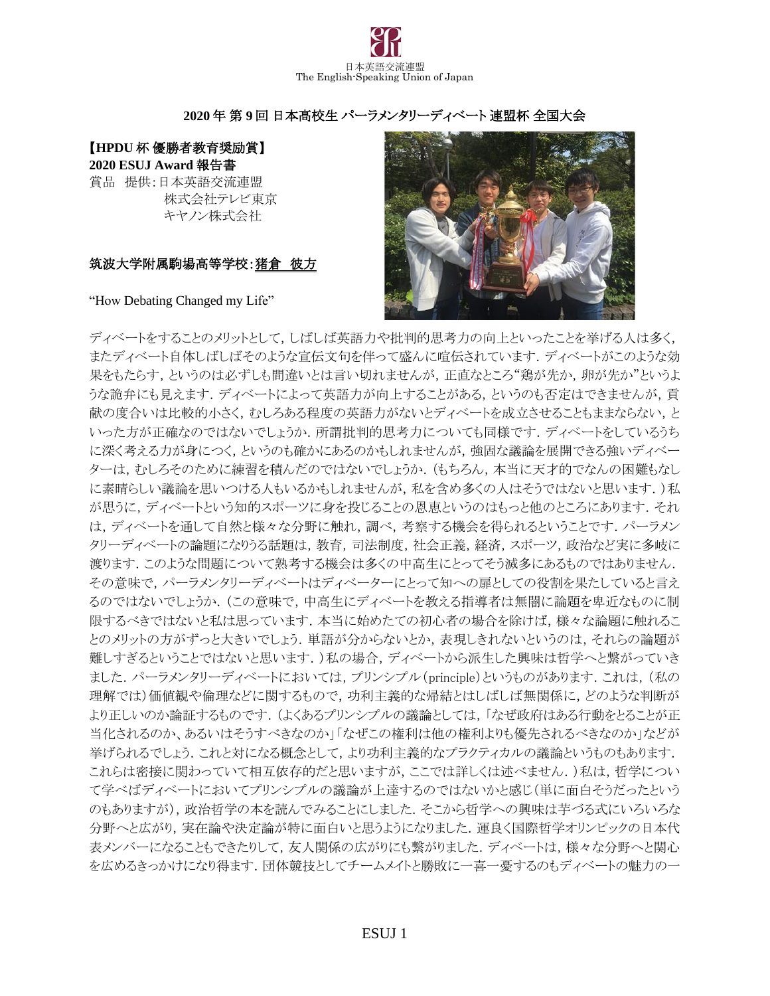

## **2020** 年 第 **9** 回 日本高校生 パーラメンタリーディベート 連盟杯 全国大会

【**HPDU** 杯 優勝者教育奨励賞】

**2020 ESUJ Award** 報告書 賞品 提供:日本英語交流連盟 株式会社テレビ東京 キヤノン株式会社

## 筑波大学附属駒場高等学校:猪倉 彼方

"How Debating Changed my Life"



ディベートをすることのメリットとして,しばしば英語力や批判的思考力の向上といったことを挙げる人は多く, またディベート自体しばしばそのような宣伝文句を伴って盛んに喧伝されています.ディベートがこのような効 果をもたらす, というのは必ずしも間違いとは言い切れませんが, 正直なところ"鶏が先か, 卵が先か"というよ うな詭弁にも見えます. ディベートによって英語力が向上することがある, というのも否定はできませんが, 貢 献の度合いは比較的小さく、むしろある程度の英語力がないとディベートを成立させることもままならない、と いった方が正確なのではないでしょうか.所謂批判的思考力についても同様です.ディベートをしているうち に深く考える力が身につく,というのも確かにあるのかもしれませんが,強固な議論を展開できる強いディベー ターは,むしろそのために練習を積んだのではないでしょうか.(もちろん,本当に天才的でなんの困難もなし に素晴らしい議論を思いつける人もいるかもしれませんが,私を含め多くの人はそうではないと思います.)私 が思うに、ディベートという知的スポーツに身を投じることの恩恵というのはもっと他のところにあります。それ は、ディベートを通して自然と様々な分野に触れ、調べ、考察する機会を得られるということです. パーラメン タリーディベートの論題になりうる話題は,教育,司法制度,社会正義,経済,スポーツ,政治など実に多岐に 渡ります.このような問題について熟考する機会は多くの中高生にとってそう滅多にあるものではありません. その意味で,パーラメンタリーディベートはディベーターにとって知への扉としての役割を果たしていると言え るのではないでしょうか.(この意味で,中高生にディベートを教える指導者は無闇に論題を卑近なものに制 限するべきではないと私は思っています.本当に始めたての初心者の場合を除けば,様々な論題に触れるこ とのメリットの方がずっと大きいでしょう.単語が分からないとか,表現しきれないというのは,それらの論題が 難しすぎるということではないと思います.)私の場合,ディベートから派生した興味は哲学へと繋がっていき ました. パーラメンタリーディベートにおいては, プリンシプル (principle)というものがあります. これは, (私の 理解では)価値観や倫理などに関するもので,功利主義的な帰結とはしばしば無関係に,どのような判断が より正しいのか論証するものです.(よくあるプリンシプルの議論としては,「なぜ政府はある行動をとることが正 当化されるのか、あるいはそうすべきなのか」「なぜこの権利は他の権利よりも優先されるべきなのか」などが 挙げられるでしょう.これと対になる概念として,より功利主義的なプラクティカルの議論というものもあります. これらは密接に関わっていて相互依存的だと思いますが,ここでは詳しくは述べません.)私は,哲学につい て学べばディベートにおいてプリンシプルの議論が上達するのではないかと感じ(単に面白そうだったという のもありますが),政治哲学の本を読んでみることにしました.そこから哲学への興味は芋づる式にいろいろな 分野へと広がり,実在論や決定論が特に面白いと思うようになりました. 運良く国際哲学オリンピックの日本代 表メンバーになることもできたりして、友人関係の広がりにも繋がりました. ディベートは,様々な分野へと関心 を広めるきっかけになり得ます. 団体競技としてチームメイトと勝敗に一喜一憂するのもディベートの魅力の一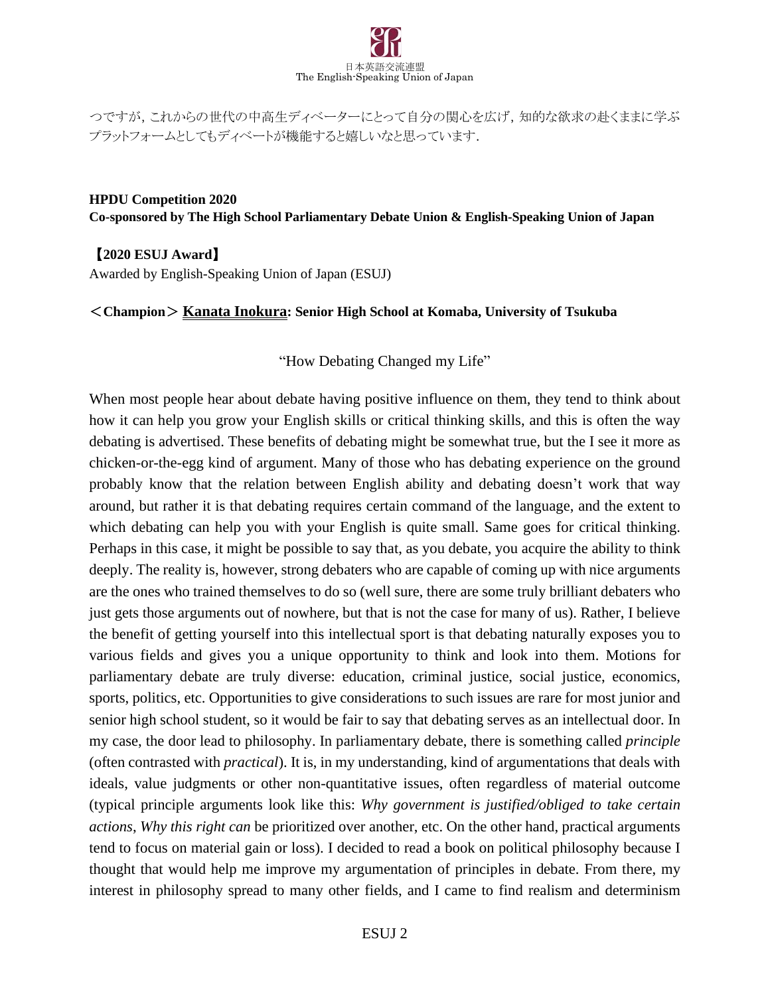

つですが,これからの世代の中高生ディベーターにとって自分の関心を広げ,知的な欲求の赴くままに学ぶ プラットフォームとしてもディベートが機能すると嬉しいなと思っています.

## **HPDU Competition 2020**

**Co-sponsored by The High School Parliamentary Debate Union & English-Speaking Union of Japan**

【**2020 ESUJ Award**】 Awarded by English-Speaking Union of Japan (ESUJ)

## <**Champion**> **Kanata Inokura: Senior High School at Komaba, University of Tsukuba**

"How Debating Changed my Life"

When most people hear about debate having positive influence on them, they tend to think about how it can help you grow your English skills or critical thinking skills, and this is often the way debating is advertised. These benefits of debating might be somewhat true, but the I see it more as chicken-or-the-egg kind of argument. Many of those who has debating experience on the ground probably know that the relation between English ability and debating doesn't work that way around, but rather it is that debating requires certain command of the language, and the extent to which debating can help you with your English is quite small. Same goes for critical thinking. Perhaps in this case, it might be possible to say that, as you debate, you acquire the ability to think deeply. The reality is, however, strong debaters who are capable of coming up with nice arguments are the ones who trained themselves to do so (well sure, there are some truly brilliant debaters who just gets those arguments out of nowhere, but that is not the case for many of us). Rather, I believe the benefit of getting yourself into this intellectual sport is that debating naturally exposes you to various fields and gives you a unique opportunity to think and look into them. Motions for parliamentary debate are truly diverse: education, criminal justice, social justice, economics, sports, politics, etc. Opportunities to give considerations to such issues are rare for most junior and senior high school student, so it would be fair to say that debating serves as an intellectual door. In my case, the door lead to philosophy. In parliamentary debate, there is something called *principle* (often contrasted with *practical*). It is, in my understanding, kind of argumentations that deals with ideals, value judgments or other non-quantitative issues, often regardless of material outcome (typical principle arguments look like this: *Why government is justified/obliged to take certain actions*, *Why this right can* be prioritized over another, etc. On the other hand, practical arguments tend to focus on material gain or loss). I decided to read a book on political philosophy because I thought that would help me improve my argumentation of principles in debate. From there, my interest in philosophy spread to many other fields, and I came to find realism and determinism